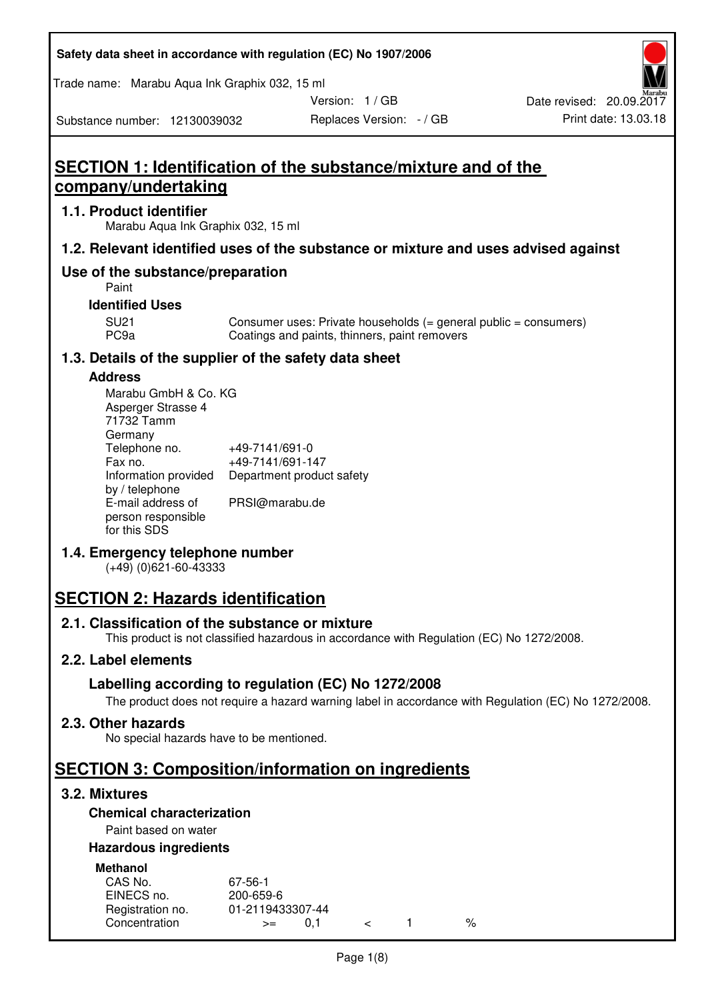#### **Safety data sheet in accordance with regulation (EC) No 1907/2006**

Trade name: Marabu Aqua Ink Graphix 032, 15 ml

Version: 1 / GB

Substance number: 12130039032

## **SECTION 1: Identification of the substance/mixture and of the company/undertaking**

#### **1.1. Product identifier**

Marabu Aqua Ink Graphix 032, 15 ml

#### **1.2. Relevant identified uses of the substance or mixture and uses advised against**

### **Use of the substance/preparation**

Paint

#### **Identified Uses**

SU21 Consumer uses: Private households (= general public = consumers)<br>PC9a Coatings and paints, thinners, paint removers Coatings and paints, thinners, paint removers

#### **1.3. Details of the supplier of the safety data sheet**

#### **Address**

| Marabu GmbH & Co. KG |                           |  |
|----------------------|---------------------------|--|
| Asperger Strasse 4   |                           |  |
| 71732 Tamm           |                           |  |
| Germany              |                           |  |
| Telephone no.        | +49-7141/691-0            |  |
| Fax no.              | +49-7141/691-147          |  |
| Information provided | Department product safety |  |
| by / telephone       |                           |  |
| E-mail address of    | PRSI@marabu.de            |  |
| person responsible   |                           |  |
| for this SDS         |                           |  |

#### **1.4. Emergency telephone number**

(+49) (0)621-60-43333

## **SECTION 2: Hazards identification**

#### **2.1. Classification of the substance or mixture**

This product is not classified hazardous in accordance with Regulation (EC) No 1272/2008.

#### **2.2. Label elements**

#### **Labelling according to regulation (EC) No 1272/2008**

The product does not require a hazard warning label in accordance with Regulation (EC) No 1272/2008.

#### **2.3. Other hazards**

No special hazards have to be mentioned.

## **SECTION 3: Composition/information on ingredients**

#### **3.2. Mixtures**

#### **Chemical characterization**

#### Paint based on water

#### **Hazardous ingredients**

| <b>Methanol</b>  |                  |  |   |
|------------------|------------------|--|---|
| CAS No.          | 67-56-1          |  |   |
| EINECS no.       | 200-659-6        |  |   |
| Registration no. | 01-2119433307-44 |  |   |
| Concentration    | $>=$             |  | % |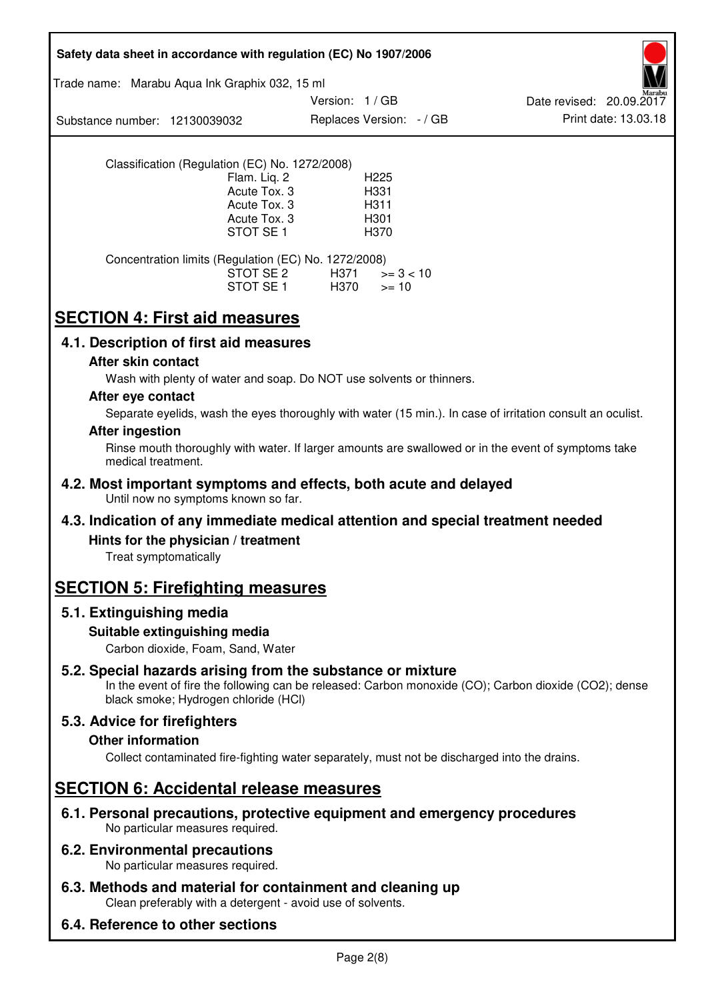| Safety data sheet in accordance with regulation (EC) No 1907/2006                                                                                                                                           |
|-------------------------------------------------------------------------------------------------------------------------------------------------------------------------------------------------------------|
| Trade name: Marabu Aqua Ink Graphix 032, 15 ml                                                                                                                                                              |
| Version: 1/GB<br>Date revised: 20.09.2017<br>Print date: 13.03.18<br>Replaces Version: - / GB<br>Substance number: 12130039032                                                                              |
| Classification (Regulation (EC) No. 1272/2008)<br>Flam. Liq. 2<br>H <sub>225</sub><br>Acute Tox. 3<br>H331<br>Acute Tox. 3<br>H311<br>Acute Tox. 3<br>H301<br>STOT SE <sub>1</sub><br>H370                  |
| Concentration limits (Regulation (EC) No. 1272/2008)<br>STOT SE 2<br>H371<br>$>= 3 < 10$<br>STOT SE 1<br>H370<br>$>= 10$                                                                                    |
| <b>SECTION 4: First aid measures</b>                                                                                                                                                                        |
| 4.1. Description of first aid measures                                                                                                                                                                      |
| After skin contact                                                                                                                                                                                          |
| Wash with plenty of water and soap. Do NOT use solvents or thinners.                                                                                                                                        |
| After eye contact                                                                                                                                                                                           |
| Separate eyelids, wash the eyes thoroughly with water (15 min.). In case of irritation consult an oculist.<br><b>After ingestion</b>                                                                        |
| Rinse mouth thoroughly with water. If larger amounts are swallowed or in the event of symptoms take<br>medical treatment.                                                                                   |
| 4.2. Most important symptoms and effects, both acute and delayed<br>Until now no symptoms known so far.                                                                                                     |
| 4.3. Indication of any immediate medical attention and special treatment needed                                                                                                                             |
| Hints for the physician / treatment<br>Treat symptomatically                                                                                                                                                |
| <b>SECTION 5: Firefighting measures</b>                                                                                                                                                                     |
| 5.1. Extinguishing media                                                                                                                                                                                    |
| Suitable extinguishing media<br>Carbon dioxide, Foam, Sand, Water                                                                                                                                           |
| 5.2. Special hazards arising from the substance or mixture<br>In the event of fire the following can be released: Carbon monoxide (CO); Carbon dioxide (CO2); dense<br>black smoke; Hydrogen chloride (HCI) |
| 5.3. Advice for firefighters                                                                                                                                                                                |
| <b>Other information</b>                                                                                                                                                                                    |
| Collect contaminated fire-fighting water separately, must not be discharged into the drains.                                                                                                                |
| <b>SECTION 6: Accidental release measures</b>                                                                                                                                                               |
| 6.1. Personal precautions, protective equipment and emergency procedures<br>No particular measures required.                                                                                                |
| <b>6.2. Environmental precautions</b><br>No particular measures required.                                                                                                                                   |
| 6.3. Methods and material for containment and cleaning up<br>Clean preferably with a detergent - avoid use of solvents.                                                                                     |
| 6.4. Reference to other sections                                                                                                                                                                            |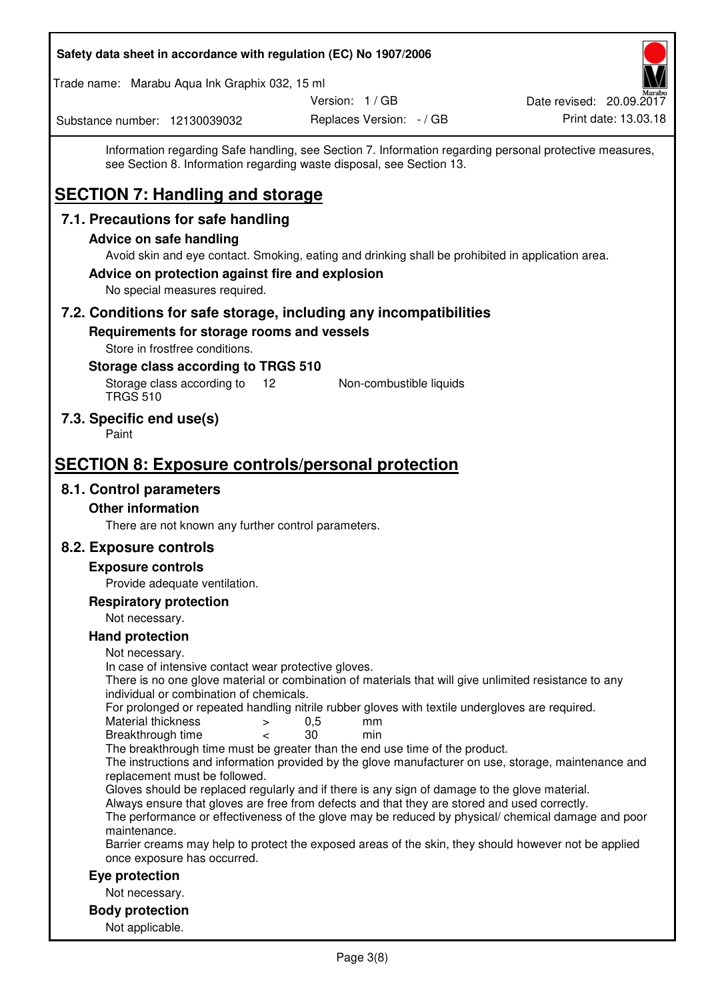| Safety data sheet in accordance with regulation (EC) No 1907/2006                                                                                                                                                          |                          |                                                                                                         |
|----------------------------------------------------------------------------------------------------------------------------------------------------------------------------------------------------------------------------|--------------------------|---------------------------------------------------------------------------------------------------------|
| Trade name: Marabu Aqua Ink Graphix 032, 15 ml                                                                                                                                                                             |                          |                                                                                                         |
|                                                                                                                                                                                                                            | Version: 1 / GB          | Date revised: 20.09.2017                                                                                |
| Substance number: 12130039032                                                                                                                                                                                              | Replaces Version: - / GB | Print date: 13.03.18                                                                                    |
| see Section 8. Information regarding waste disposal, see Section 13.<br><b>SECTION 7: Handling and storage</b>                                                                                                             |                          | Information regarding Safe handling, see Section 7. Information regarding personal protective measures, |
| 7.1. Precautions for safe handling                                                                                                                                                                                         |                          |                                                                                                         |
| <b>Advice on safe handling</b>                                                                                                                                                                                             |                          |                                                                                                         |
| Avoid skin and eye contact. Smoking, eating and drinking shall be prohibited in application area.<br>Advice on protection against fire and explosion<br>No special measures required.                                      |                          |                                                                                                         |
| 7.2. Conditions for safe storage, including any incompatibilities                                                                                                                                                          |                          |                                                                                                         |
| Requirements for storage rooms and vessels<br>Store in frostfree conditions.<br>Storage class according to TRGS 510<br>Storage class according to<br>$12 \overline{ }$<br><b>TRGS 510</b>                                  | Non-combustible liquids  |                                                                                                         |
| 7.3. Specific end use(s)<br>Paint                                                                                                                                                                                          |                          |                                                                                                         |
| <b>SECTION 8: Exposure controls/personal protection</b>                                                                                                                                                                    |                          |                                                                                                         |
| 8.1. Control parameters                                                                                                                                                                                                    |                          |                                                                                                         |
| <b>Other information</b>                                                                                                                                                                                                   |                          |                                                                                                         |
| There are not known any further control parameters.                                                                                                                                                                        |                          |                                                                                                         |
| 8.2. Exposure controls                                                                                                                                                                                                     |                          |                                                                                                         |
| <b>Exposure controls</b>                                                                                                                                                                                                   |                          |                                                                                                         |
| Provide adequate ventilation.                                                                                                                                                                                              |                          |                                                                                                         |
| <b>Respiratory protection</b>                                                                                                                                                                                              |                          |                                                                                                         |
| Not necessary.                                                                                                                                                                                                             |                          |                                                                                                         |
| <b>Hand protection</b>                                                                                                                                                                                                     |                          |                                                                                                         |
| Not necessary.<br>In case of intensive contact wear protective gloves.<br>There is no one glove material or combination of materials that will give unlimited resistance to any<br>individual or combination of chemicals. |                          |                                                                                                         |
| For prolonged or repeated handling nitrile rubber gloves with textile undergloves are required.<br>Material thickness<br>$\,>$<br>Breakthrough time<br>$\overline{\phantom{0}}$                                            | 0,5<br>mm<br>30<br>min   |                                                                                                         |
| The breakthrough time must be greater than the end use time of the product.<br>The instructions and information provided by the glove manufacturer on use, storage, maintenance and<br>replacement must be followed.       |                          |                                                                                                         |
| Gloves should be replaced regularly and if there is any sign of damage to the glove material.<br>Always ensure that gloves are free from defects and that they are stored and used correctly.<br>maintenance.              |                          | The performance or effectiveness of the glove may be reduced by physical/ chemical damage and poor      |
| Barrier creams may help to protect the exposed areas of the skin, they should however not be applied<br>once exposure has occurred.                                                                                        |                          |                                                                                                         |
| Eye protection                                                                                                                                                                                                             |                          |                                                                                                         |
| Not necessary.                                                                                                                                                                                                             |                          |                                                                                                         |
| <b>Body protection</b>                                                                                                                                                                                                     |                          |                                                                                                         |
| Not applicable.                                                                                                                                                                                                            |                          |                                                                                                         |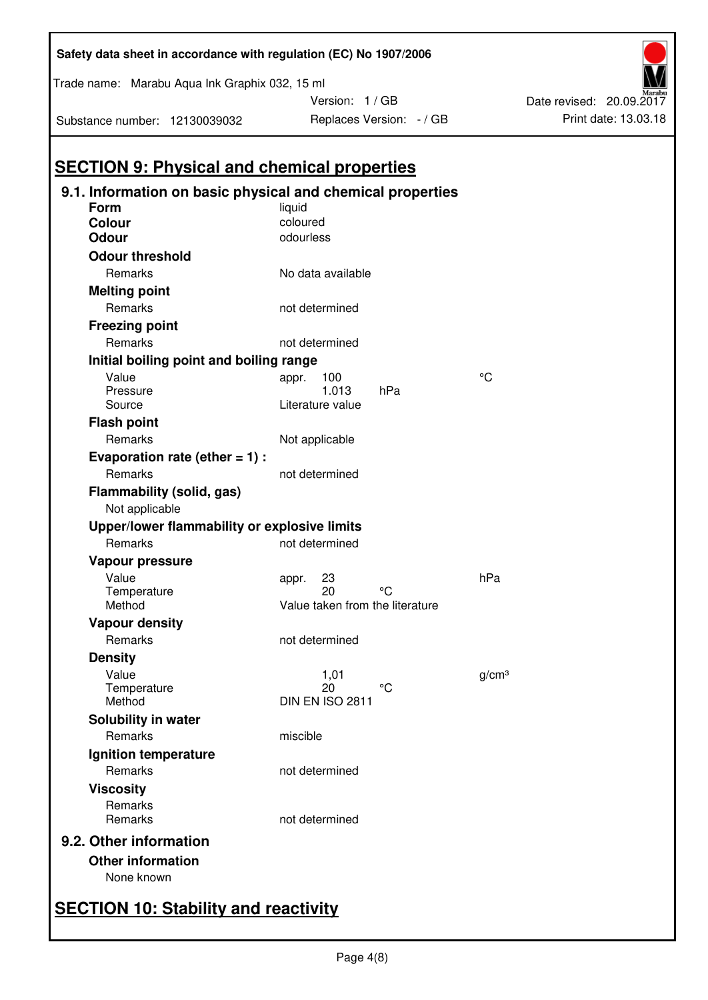| 9.1. Information on basic physical and chemical properties<br>Form | liquid                          |                 |                   |
|--------------------------------------------------------------------|---------------------------------|-----------------|-------------------|
| <b>Colour</b>                                                      | coloured                        |                 |                   |
| <b>Odour</b>                                                       | odourless                       |                 |                   |
| <b>Odour threshold</b>                                             |                                 |                 |                   |
| Remarks                                                            | No data available               |                 |                   |
| <b>Melting point</b>                                               |                                 |                 |                   |
| Remarks                                                            | not determined                  |                 |                   |
| <b>Freezing point</b>                                              |                                 |                 |                   |
| Remarks                                                            | not determined                  |                 |                   |
| Initial boiling point and boiling range                            |                                 |                 |                   |
| Value                                                              | 100<br>appr.                    |                 | °C                |
| Pressure                                                           | 1.013                           | hPa             |                   |
| Source                                                             | Literature value                |                 |                   |
| <b>Flash point</b>                                                 |                                 |                 |                   |
| Remarks                                                            | Not applicable                  |                 |                   |
| Evaporation rate (ether $= 1$ ) :                                  |                                 |                 |                   |
| Remarks                                                            | not determined                  |                 |                   |
| Flammability (solid, gas)<br>Not applicable                        |                                 |                 |                   |
| Upper/lower flammability or explosive limits                       |                                 |                 |                   |
| Remarks                                                            | not determined                  |                 |                   |
| Vapour pressure                                                    |                                 |                 |                   |
| Value                                                              | 23<br>appr.                     |                 | hPa               |
| Temperature                                                        | 20                              | °C              |                   |
| Method                                                             | Value taken from the literature |                 |                   |
| <b>Vapour density</b>                                              |                                 |                 |                   |
| Remarks                                                            | not determined                  |                 |                   |
| <b>Density</b>                                                     |                                 |                 |                   |
| Value                                                              | 1,01                            |                 | g/cm <sup>3</sup> |
| Temperature<br>Method                                              | 20<br>DIN EN ISO 2811           | $\rm ^{\circ}C$ |                   |
|                                                                    |                                 |                 |                   |
| Solubility in water<br>Remarks                                     | miscible                        |                 |                   |
|                                                                    |                                 |                 |                   |
| Ignition temperature<br>Remarks                                    | not determined                  |                 |                   |
| <b>Viscosity</b>                                                   |                                 |                 |                   |
| Remarks                                                            |                                 |                 |                   |
| Remarks                                                            | not determined                  |                 |                   |
| 9.2. Other information                                             |                                 |                 |                   |
|                                                                    |                                 |                 |                   |
| <b>Other information</b>                                           |                                 |                 |                   |
| None known                                                         |                                 |                 |                   |

# **SECTION 10: Stability and reactivity**

**Safety data sheet in accordance with regulation (EC) No 1907/2006** 

Trade name: Marabu Aqua Ink Graphix 032, 15 ml

Substance number: 12130039032

Version: 1 / GB

Replaces Version:  $-$  / GB Print date: 13.03.18 Date revised: 20.09.2017

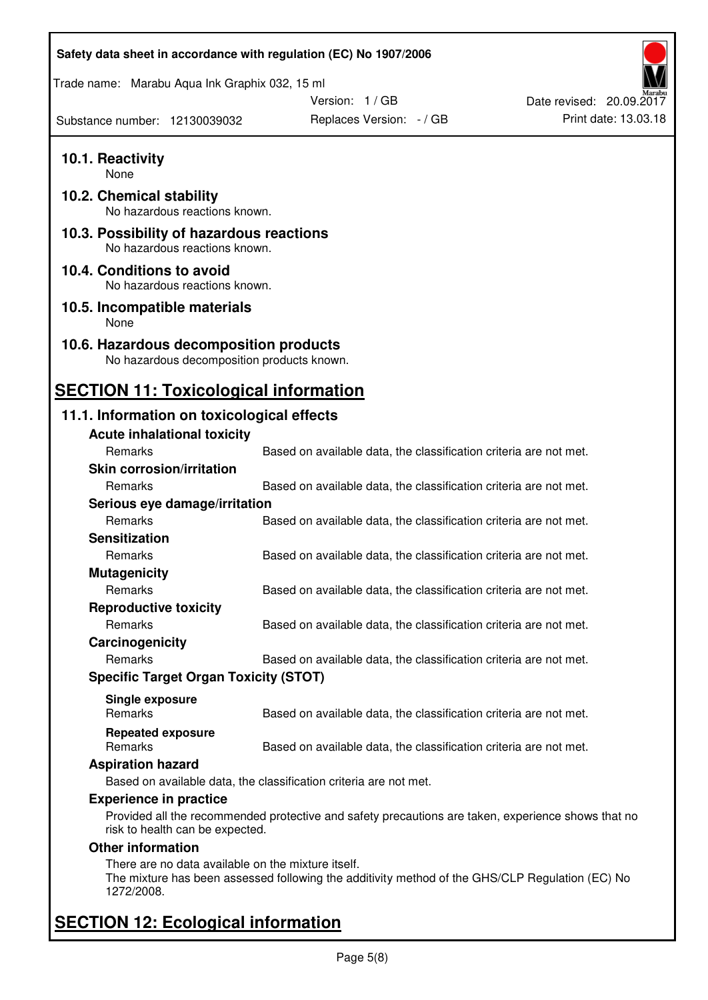| Safety data sheet in accordance with regulation (EC) No 1907/2006                    |                                                                                                    |                          |
|--------------------------------------------------------------------------------------|----------------------------------------------------------------------------------------------------|--------------------------|
| Trade name: Marabu Aqua Ink Graphix 032, 15 ml                                       |                                                                                                    |                          |
|                                                                                      | Version: 1 / GB                                                                                    | Date revised: 20.09.2017 |
| Substance number: 12130039032                                                        | Replaces Version: - / GB                                                                           | Print date: 13.03.18     |
| 10.1. Reactivity<br>None                                                             |                                                                                                    |                          |
| 10.2. Chemical stability<br>No hazardous reactions known.                            |                                                                                                    |                          |
| 10.3. Possibility of hazardous reactions<br>No hazardous reactions known.            |                                                                                                    |                          |
| 10.4. Conditions to avoid<br>No hazardous reactions known.                           |                                                                                                    |                          |
| 10.5. Incompatible materials<br>None                                                 |                                                                                                    |                          |
| 10.6. Hazardous decomposition products<br>No hazardous decomposition products known. |                                                                                                    |                          |
| <b>SECTION 11: Toxicological information</b>                                         |                                                                                                    |                          |
| 11.1. Information on toxicological effects                                           |                                                                                                    |                          |
| <b>Acute inhalational toxicity</b>                                                   |                                                                                                    |                          |
| Remarks                                                                              | Based on available data, the classification criteria are not met.                                  |                          |
| <b>Skin corrosion/irritation</b>                                                     |                                                                                                    |                          |
| <b>Remarks</b>                                                                       | Based on available data, the classification criteria are not met.                                  |                          |
| Serious eye damage/irritation                                                        |                                                                                                    |                          |
| Remarks                                                                              | Based on available data, the classification criteria are not met.                                  |                          |
| <b>Sensitization</b>                                                                 |                                                                                                    |                          |
| Remarks                                                                              | Based on available data, the classification criteria are not met.                                  |                          |
| <b>Mutagenicity</b>                                                                  |                                                                                                    |                          |
| Remarks                                                                              | Based on available data, the classification criteria are not met.                                  |                          |
| <b>Reproductive toxicity</b>                                                         |                                                                                                    |                          |
| Remarks                                                                              | Based on available data, the classification criteria are not met.                                  |                          |
| Carcinogenicity                                                                      |                                                                                                    |                          |
| Remarks                                                                              | Based on available data, the classification criteria are not met.                                  |                          |
| <b>Specific Target Organ Toxicity (STOT)</b>                                         |                                                                                                    |                          |
|                                                                                      |                                                                                                    |                          |
| Single exposure<br><b>Remarks</b>                                                    | Based on available data, the classification criteria are not met.                                  |                          |
| <b>Repeated exposure</b><br>Remarks                                                  | Based on available data, the classification criteria are not met.                                  |                          |
| <b>Aspiration hazard</b>                                                             |                                                                                                    |                          |
|                                                                                      | Based on available data, the classification criteria are not met.                                  |                          |
| <b>Experience in practice</b>                                                        |                                                                                                    |                          |
| risk to health can be expected.                                                      | Provided all the recommended protective and safety precautions are taken, experience shows that no |                          |
| <b>Other information</b>                                                             |                                                                                                    |                          |
| There are no data available on the mixture itself.<br>1272/2008.                     | The mixture has been assessed following the additivity method of the GHS/CLP Regulation (EC) No    |                          |
| <b>SECTION 12: Ecological information</b>                                            |                                                                                                    |                          |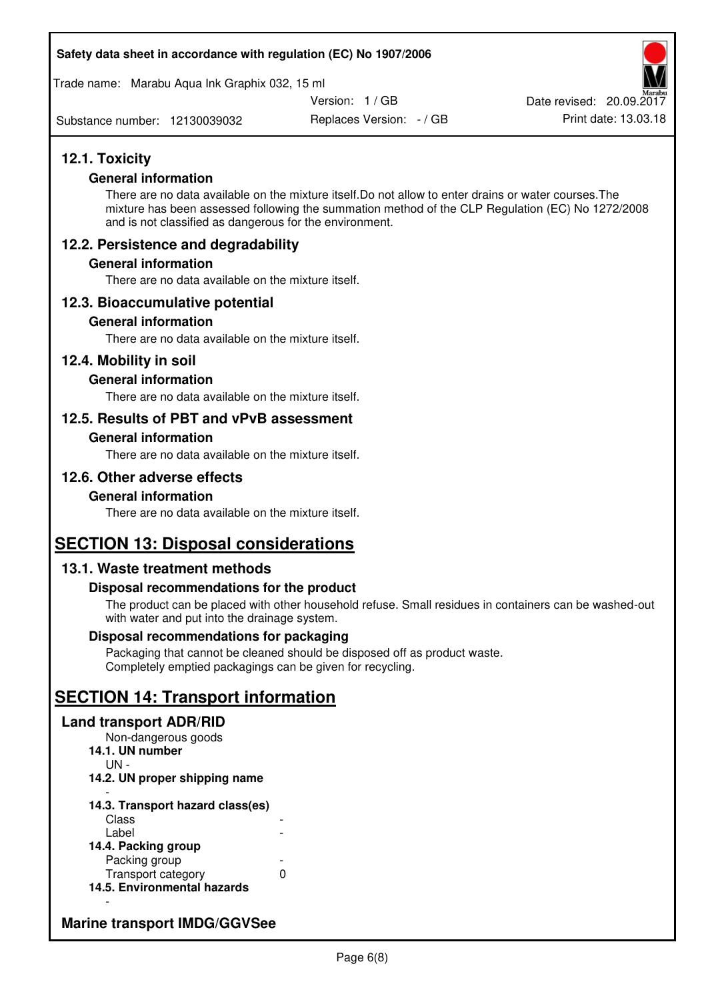#### **Safety data sheet in accordance with regulation (EC) No 1907/2006**

Trade name: Marabu Aqua Ink Graphix 032, 15 ml

Version: 1 / GB

Substance number: 12130039032

Replaces Version: - / GB Print date: 13.03.18 Date revised: 20.09.2017

### **12.1. Toxicity**

#### **General information**

There are no data available on the mixture itself.Do not allow to enter drains or water courses.The mixture has been assessed following the summation method of the CLP Regulation (EC) No 1272/2008 and is not classified as dangerous for the environment.

### **12.2. Persistence and degradability**

#### **General information**

There are no data available on the mixture itself.

#### **12.3. Bioaccumulative potential**

#### **General information**

There are no data available on the mixture itself.

#### **12.4. Mobility in soil**

#### **General information**

There are no data available on the mixture itself.

#### **12.5. Results of PBT and vPvB assessment**

#### **General information**

There are no data available on the mixture itself.

### **12.6. Other adverse effects**

#### **General information**

There are no data available on the mixture itself.

## **SECTION 13: Disposal considerations**

#### **13.1. Waste treatment methods**

#### **Disposal recommendations for the product**

The product can be placed with other household refuse. Small residues in containers can be washed-out with water and put into the drainage system.

#### **Disposal recommendations for packaging**

Packaging that cannot be cleaned should be disposed off as product waste. Completely emptied packagings can be given for recycling.

## **SECTION 14: Transport information**

#### **Land transport ADR/RID**

Non-dangerous goods **14.1. UN number**  UN - **14.2. UN proper shipping name**  -

#### **14.3. Transport hazard class(es) Class** Label

| 14.4. Packing group         |   |
|-----------------------------|---|
| Packing group               |   |
| Transport category          | O |
| 14.5. Environmental hazards |   |

### **Marine transport IMDG/GGVSee**

-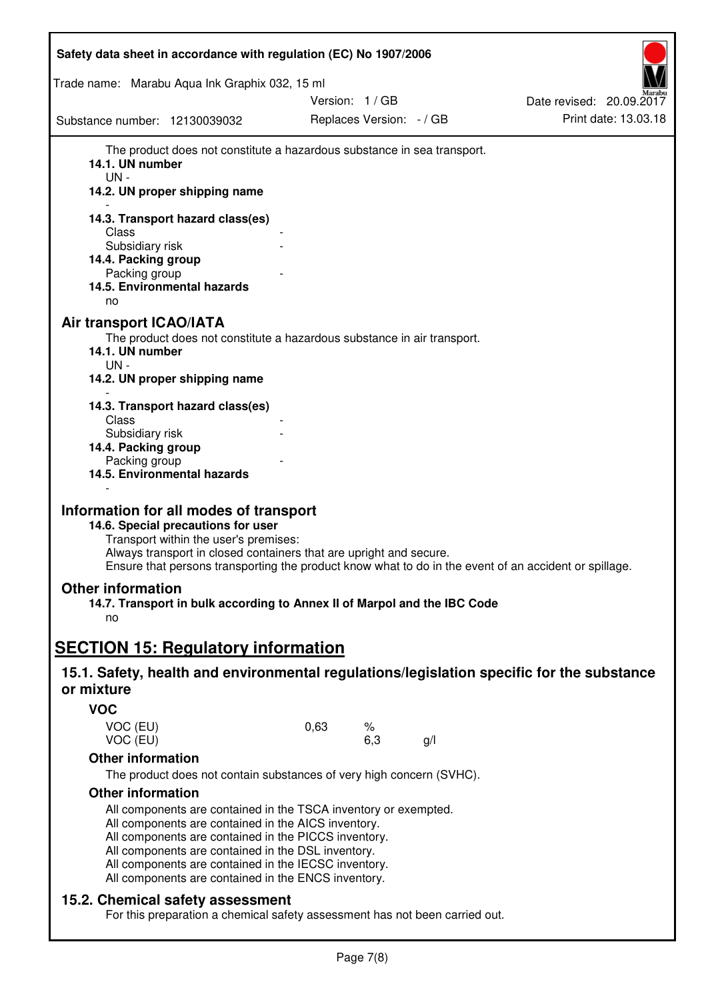| Safety data sheet in accordance with regulation (EC) No 1907/2006                                                                                                                                                                                                                                            |                                                                                                                                                                             |                          |
|--------------------------------------------------------------------------------------------------------------------------------------------------------------------------------------------------------------------------------------------------------------------------------------------------------------|-----------------------------------------------------------------------------------------------------------------------------------------------------------------------------|--------------------------|
| Trade name: Marabu Aqua Ink Graphix 032, 15 ml                                                                                                                                                                                                                                                               |                                                                                                                                                                             |                          |
|                                                                                                                                                                                                                                                                                                              | Version: 1 / GB                                                                                                                                                             | Date revised: 20.09.2017 |
| Substance number: 12130039032                                                                                                                                                                                                                                                                                | Replaces Version: - / GB                                                                                                                                                    | Print date: 13.03.18     |
| 14.1. UN number<br>$UN -$<br>14.2. UN proper shipping name<br>14.3. Transport hazard class(es)<br>Class<br>Subsidiary risk<br>14.4. Packing group<br>Packing group<br>14.5. Environmental hazards<br>no                                                                                                      | The product does not constitute a hazardous substance in sea transport.                                                                                                     |                          |
| <b>Air transport ICAO/IATA</b><br>14.1. UN number<br>$UN -$<br>14.2. UN proper shipping name                                                                                                                                                                                                                 | The product does not constitute a hazardous substance in air transport.                                                                                                     |                          |
| 14.3. Transport hazard class(es)<br>Class<br>Subsidiary risk<br>14.4. Packing group                                                                                                                                                                                                                          |                                                                                                                                                                             |                          |
| Packing group<br>14.5. Environmental hazards<br>Information for all modes of transport                                                                                                                                                                                                                       |                                                                                                                                                                             |                          |
| 14.6. Special precautions for user<br>Transport within the user's premises:                                                                                                                                                                                                                                  | Always transport in closed containers that are upright and secure.<br>Ensure that persons transporting the product know what to do in the event of an accident or spillage. |                          |
| <b>Other information</b><br>no                                                                                                                                                                                                                                                                               | 14.7. Transport in bulk according to Annex II of Marpol and the IBC Code                                                                                                    |                          |
| <b>SECTION 15: Regulatory information</b>                                                                                                                                                                                                                                                                    |                                                                                                                                                                             |                          |
| or mixture                                                                                                                                                                                                                                                                                                   | 15.1. Safety, health and environmental regulations/legislation specific for the substance                                                                                   |                          |
| <b>VOC</b>                                                                                                                                                                                                                                                                                                   |                                                                                                                                                                             |                          |
| VOC (EU)<br>VOC (EU)                                                                                                                                                                                                                                                                                         | 0,63<br>%<br>6,3<br>g/                                                                                                                                                      |                          |
| <b>Other information</b>                                                                                                                                                                                                                                                                                     |                                                                                                                                                                             |                          |
|                                                                                                                                                                                                                                                                                                              | The product does not contain substances of very high concern (SVHC).                                                                                                        |                          |
| <b>Other information</b><br>All components are contained in the AICS inventory.<br>All components are contained in the PICCS inventory.<br>All components are contained in the DSL inventory.<br>All components are contained in the IECSC inventory.<br>All components are contained in the ENCS inventory. | All components are contained in the TSCA inventory or exempted.                                                                                                             |                          |
| 15.2. Chemical safety assessment                                                                                                                                                                                                                                                                             | For this preparation a chemical safety assessment has not been carried out.                                                                                                 |                          |